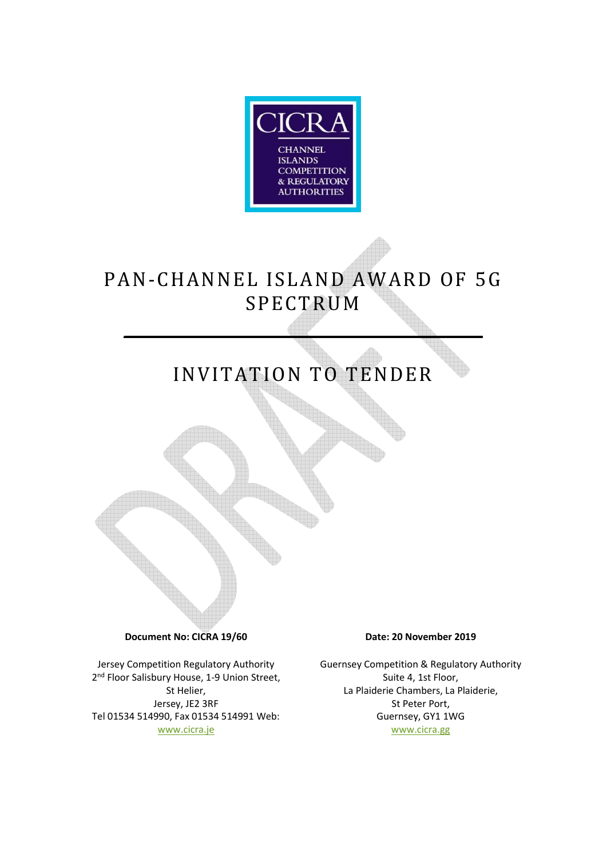

# PAN-CHANNEL ISLAND AWARD OF 5G SPECTRUM

**\_\_\_\_\_\_\_\_\_\_\_\_\_\_ \_\_\_\_\_\_\_\_\_\_\_\_\_**

# INVITATION TO TENDER

**Document No: CICRA 19/60 Date: 20 November 2019** 

Jersey Competition Regulatory Authority 2<sup>nd</sup> Floor Salisbury House, 1-9 Union Street, St Helier, Jersey, JE2 3RF Tel 01534 514990, Fax 01534 514991 Web: www.cicra.je

Guernsey Competition & Regulatory Authority Suite 4, 1st Floor, La Plaiderie Chambers, La Plaiderie, St Peter Port, Guernsey, GY1 1WG www.cicra.gg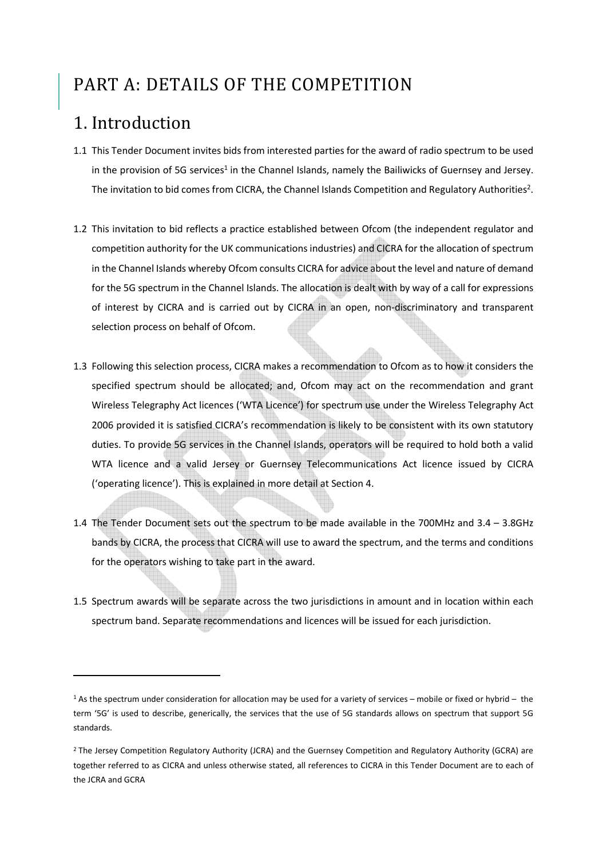### PART A: DETAILS OF THE COMPETITION

### 1. Introduction

- 1.1 This Tender Document invites bids from interested parties for the award of radio spectrum to be used in the provision of 5G services<sup>1</sup> in the Channel Islands, namely the Bailiwicks of Guernsey and Jersey. The invitation to bid comes from CICRA, the Channel Islands Competition and Regulatory Authorities<sup>2</sup>.
- 1.2 This invitation to bid reflects a practice established between Ofcom (the independent regulator and competition authority for the UK communications industries) and CICRA for the allocation of spectrum in the Channel Islands whereby Ofcom consults CICRA for advice about the level and nature of demand for the 5G spectrum in the Channel Islands. The allocation is dealt with by way of a call for expressions of interest by CICRA and is carried out by CICRA in an open, non-discriminatory and transparent selection process on behalf of Ofcom.
- 1.3 Following this selection process, CICRA makes a recommendation to Ofcom as to how it considers the specified spectrum should be allocated; and, Ofcom may act on the recommendation and grant Wireless Telegraphy Act licences ('WTA Licence') for spectrum use under the Wireless Telegraphy Act 2006 provided it is satisfied CICRA's recommendation is likely to be consistent with its own statutory duties. To provide 5G services in the Channel Islands, operators will be required to hold both a valid WTA licence and a valid Jersey or Guernsey Telecommunications Act licence issued by CICRA ('operating licence'). This is explained in more detail at Section 4.
- 1.4 The Tender Document sets out the spectrum to be made available in the 700MHz and 3.4 3.8GHz bands by CICRA, the process that CICRA will use to award the spectrum, and the terms and conditions for the operators wishing to take part in the award.
- 1.5 Spectrum awards will be separate across the two jurisdictions in amount and in location within each spectrum band. Separate recommendations and licences will be issued for each jurisdiction.

<sup>1</sup> As the spectrum under consideration for allocation may be used for a variety of services – mobile or fixed or hybrid – the term '5G' is used to describe, generically, the services that the use of 5G standards allows on spectrum that support 5G standards.

<sup>&</sup>lt;sup>2</sup> The Jersey Competition Regulatory Authority (JCRA) and the Guernsey Competition and Regulatory Authority (GCRA) are together referred to as CICRA and unless otherwise stated, all references to CICRA in this Tender Document are to each of the JCRA and GCRA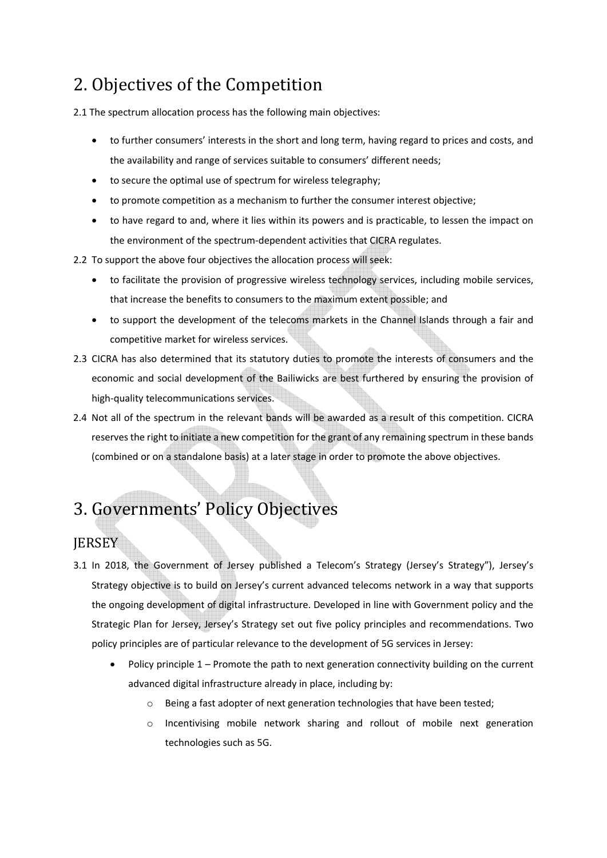### 2. Objectives of the Competition

2.1 The spectrum allocation process has the following main objectives:

- to further consumers' interests in the short and long term, having regard to prices and costs, and the availability and range of services suitable to consumers' different needs;
- to secure the optimal use of spectrum for wireless telegraphy;
- to promote competition as a mechanism to further the consumer interest objective;
- to have regard to and, where it lies within its powers and is practicable, to lessen the impact on the environment of the spectrum-dependent activities that CICRA regulates.
- 2.2 To support the above four objectives the allocation process will seek:
	- to facilitate the provision of progressive wireless technology services, including mobile services, that increase the benefits to consumers to the maximum extent possible; and
	- to support the development of the telecoms markets in the Channel Islands through a fair and competitive market for wireless services.
- 2.3 CICRA has also determined that its statutory duties to promote the interests of consumers and the economic and social development of the Bailiwicks are best furthered by ensuring the provision of high-quality telecommunications services.
- 2.4 Not all of the spectrum in the relevant bands will be awarded as a result of this competition. CICRA reserves the right to initiate a new competition for the grant of any remaining spectrum in these bands (combined or on a standalone basis) at a later stage in order to promote the above objectives.

### 3. Governments' Policy Objectives

### **JERSEY**

- 3.1 In 2018, the Government of Jersey published a Telecom's Strategy (Jersey's Strategy"), Jersey's Strategy objective is to build on Jersey's current advanced telecoms network in a way that supports the ongoing development of digital infrastructure. Developed in line with Government policy and the Strategic Plan for Jersey, Jersey's Strategy set out five policy principles and recommendations. Two policy principles are of particular relevance to the development of 5G services in Jersey:
	- Policy principle 1 Promote the path to next generation connectivity building on the current advanced digital infrastructure already in place, including by:
		- o Being a fast adopter of next generation technologies that have been tested;
		- $\circ$  Incentivising mobile network sharing and rollout of mobile next generation technologies such as 5G.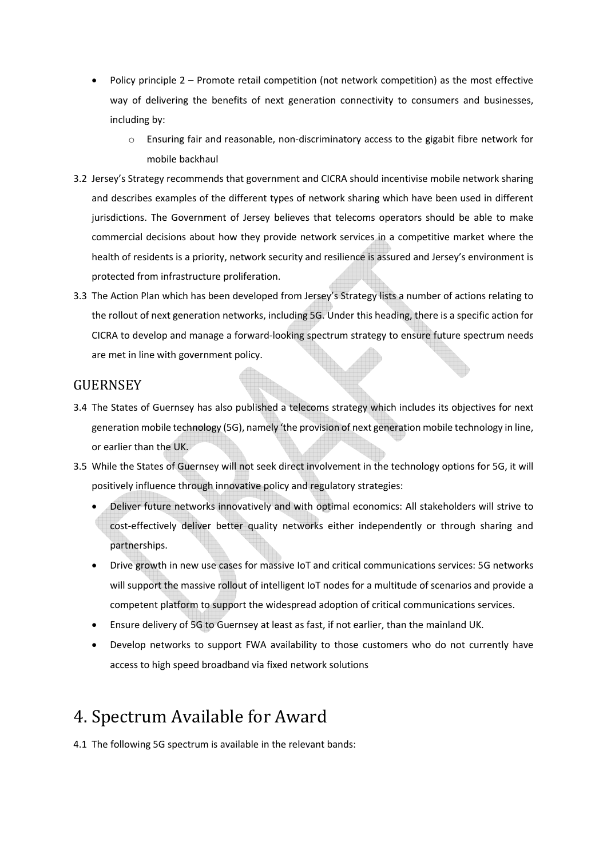- Policy principle 2 Promote retail competition (not network competition) as the most effective way of delivering the benefits of next generation connectivity to consumers and businesses, including by:
	- o Ensuring fair and reasonable, non-discriminatory access to the gigabit fibre network for mobile backhaul
- 3.2 Jersey's Strategy recommends that government and CICRA should incentivise mobile network sharing and describes examples of the different types of network sharing which have been used in different jurisdictions. The Government of Jersey believes that telecoms operators should be able to make commercial decisions about how they provide network services in a competitive market where the health of residents is a priority, network security and resilience is assured and Jersey's environment is protected from infrastructure proliferation.
- 3.3 The Action Plan which has been developed from Jersey's Strategy lists a number of actions relating to the rollout of next generation networks, including 5G. Under this heading, there is a specific action for CICRA to develop and manage a forward-looking spectrum strategy to ensure future spectrum needs are met in line with government policy.

#### **GUERNSEY**

- 3.4 The States of Guernsey has also published a telecoms strategy which includes its objectives for next generation mobile technology (5G), namely 'the provision of next generation mobile technology in line, or earlier than the UK.
- 3.5 While the States of Guernsey will not seek direct involvement in the technology options for 5G, it will positively influence through innovative policy and regulatory strategies:
	- Deliver future networks innovatively and with optimal economics: All stakeholders will strive to cost-effectively deliver better quality networks either independently or through sharing and partnerships.
	- Drive growth in new use cases for massive IoT and critical communications services: 5G networks will support the massive rollout of intelligent IoT nodes for a multitude of scenarios and provide a competent platform to support the widespread adoption of critical communications services.
	- Ensure delivery of 5G to Guernsey at least as fast, if not earlier, than the mainland UK.
	- Develop networks to support FWA availability to those customers who do not currently have access to high speed broadband via fixed network solutions

### 4. Spectrum Available for Award

4.1 The following 5G spectrum is available in the relevant bands: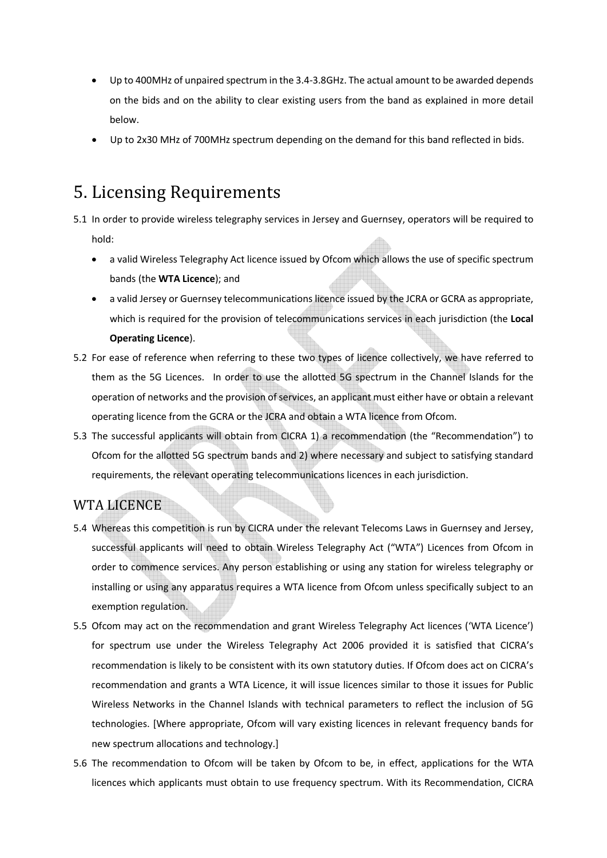- Up to 400MHz of unpaired spectrum in the 3.4-3.8GHz. The actual amount to be awarded depends on the bids and on the ability to clear existing users from the band as explained in more detail below.
- Up to 2x30 MHz of 700MHz spectrum depending on the demand for this band reflected in bids.

### 5. Licensing Requirements

- 5.1 In order to provide wireless telegraphy services in Jersey and Guernsey, operators will be required to hold:
	- a valid Wireless Telegraphy Act licence issued by Ofcom which allows the use of specific spectrum bands (the **WTA Licence**); and
	- a valid Jersey or Guernsey telecommunications licence issued by the JCRA or GCRA as appropriate, which is required for the provision of telecommunications services in each jurisdiction (the **Local Operating Licence**).
- 5.2 For ease of reference when referring to these two types of licence collectively, we have referred to them as the 5G Licences. In order to use the allotted 5G spectrum in the Channel Islands for the operation of networks and the provision of services, an applicant must either have or obtain a relevant operating licence from the GCRA or the JCRA and obtain a WTA licence from Ofcom.
- 5.3 The successful applicants will obtain from CICRA 1) a recommendation (the "Recommendation") to Ofcom for the allotted 5G spectrum bands and 2) where necessary and subject to satisfying standard requirements, the relevant operating telecommunications licences in each jurisdiction.

### WTA LICENCE

- 5.4 Whereas this competition is run by CICRA under the relevant Telecoms Laws in Guernsey and Jersey, successful applicants will need to obtain Wireless Telegraphy Act ("WTA") Licences from Ofcom in order to commence services. Any person establishing or using any station for wireless telegraphy or installing or using any apparatus requires a WTA licence from Ofcom unless specifically subject to an exemption regulation.
- 5.5 Ofcom may act on the recommendation and grant Wireless Telegraphy Act licences ('WTA Licence') for spectrum use under the Wireless Telegraphy Act 2006 provided it is satisfied that CICRA's recommendation is likely to be consistent with its own statutory duties. If Ofcom does act on CICRA's recommendation and grants a WTA Licence, it will issue licences similar to those it issues for Public Wireless Networks in the Channel Islands with technical parameters to reflect the inclusion of 5G technologies. [Where appropriate, Ofcom will vary existing licences in relevant frequency bands for new spectrum allocations and technology.]
- 5.6 The recommendation to Ofcom will be taken by Ofcom to be, in effect, applications for the WTA licences which applicants must obtain to use frequency spectrum. With its Recommendation, CICRA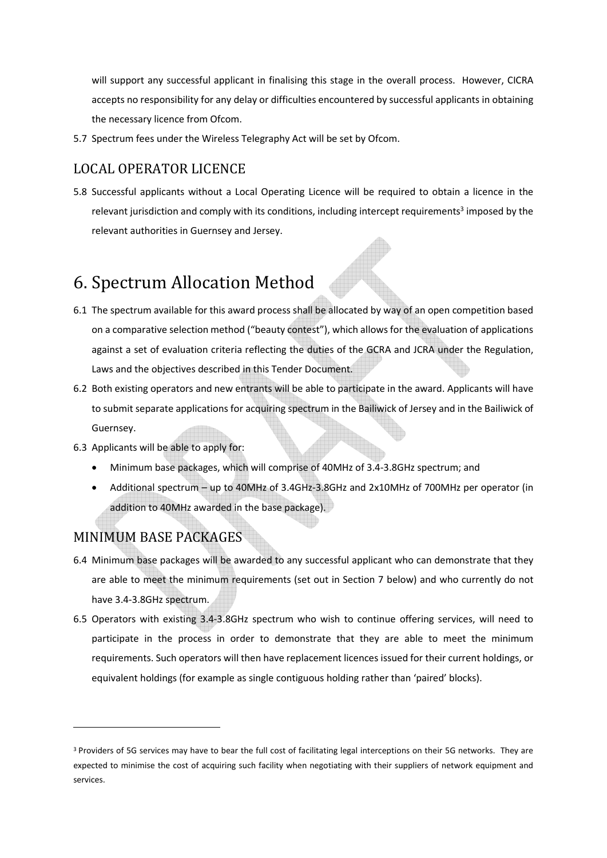will support any successful applicant in finalising this stage in the overall process. However, CICRA accepts no responsibility for any delay or difficulties encountered by successful applicants in obtaining the necessary licence from Ofcom.

5.7 Spectrum fees under the Wireless Telegraphy Act will be set by Ofcom.

#### LOCAL OPERATOR LICENCE

5.8 Successful applicants without a Local Operating Licence will be required to obtain a licence in the relevant jurisdiction and comply with its conditions, including intercept requirements<sup>3</sup> imposed by the relevant authorities in Guernsey and Jersey.

### 6. Spectrum Allocation Method

- 6.1 The spectrum available for this award process shall be allocated by way of an open competition based on a comparative selection method ("beauty contest"), which allows for the evaluation of applications against a set of evaluation criteria reflecting the duties of the GCRA and JCRA under the Regulation, Laws and the objectives described in this Tender Document.
- 6.2 Both existing operators and new entrants will be able to participate in the award. Applicants will have to submit separate applications for acquiring spectrum in the Bailiwick of Jersey and in the Bailiwick of Guernsey.
- 6.3 Applicants will be able to apply for:
	- Minimum base packages, which will comprise of 40MHz of 3.4-3.8GHz spectrum; and
	- Additional spectrum up to 40MHz of 3.4GHz-3.8GHz and 2x10MHz of 700MHz per operator (in addition to 40MHz awarded in the base package).

#### MINIMUM BASE PACKAGES

- 6.4 Minimum base packages will be awarded to any successful applicant who can demonstrate that they are able to meet the minimum requirements (set out in Section 7 below) and who currently do not have 3.4-3.8GHz spectrum.
- 6.5 Operators with existing 3.4-3.8GHz spectrum who wish to continue offering services, will need to participate in the process in order to demonstrate that they are able to meet the minimum requirements. Such operators will then have replacement licences issued for their current holdings, or equivalent holdings (for example as single contiguous holding rather than 'paired' blocks).

<sup>&</sup>lt;sup>3</sup> Providers of 5G services may have to bear the full cost of facilitating legal interceptions on their 5G networks. They are expected to minimise the cost of acquiring such facility when negotiating with their suppliers of network equipment and services.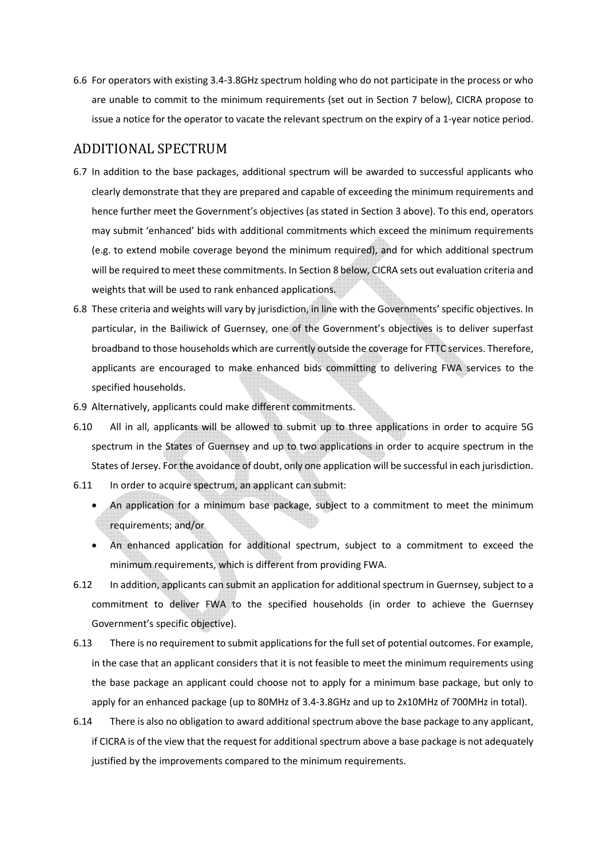6.6 For operators with existing 3.4-3.8GHz spectrum holding who do not participate in the process or who are unable to commit to the minimum requirements (set out in Section 7 below), CICRA propose to issue a notice for the operator to vacate the relevant spectrum on the expiry of a 1-year notice period.

#### ADDITIONAL SPECTRUM

- 6.7 In addition to the base packages, additional spectrum will be awarded to successful applicants who clearly demonstrate that they are prepared and capable of exceeding the minimum requirements and hence further meet the Government's objectives (as stated in Section 3 above). To this end, operators may submit 'enhanced' bids with additional commitments which exceed the minimum requirements (e.g. to extend mobile coverage beyond the minimum required), and for which additional spectrum will be required to meet these commitments. In Section 8 below, CICRA sets out evaluation criteria and weights that will be used to rank enhanced applications.
- 6.8 These criteria and weights will vary by jurisdiction, in line with the Governments' specific objectives. In particular, in the Bailiwick of Guernsey, one of the Government's objectives is to deliver superfast broadband to those households which are currently outside the coverage for FTTC services. Therefore, applicants are encouraged to make enhanced bids committing to delivering FWA services to the specified households.
- 6.9 Alternatively, applicants could make different commitments.
- 6.10 All in all, applicants will be allowed to submit up to three applications in order to acquire 5G spectrum in the States of Guernsey and up to two applications in order to acquire spectrum in the States of Jersey. For the avoidance of doubt, only one application will be successful in each jurisdiction.
- 6.11 In order to acquire spectrum, an applicant can submit:
	- An application for a minimum base package, subject to a commitment to meet the minimum requirements; and/or
	- An enhanced application for additional spectrum, subject to a commitment to exceed the minimum requirements, which is different from providing FWA.
- 6.12 In addition, applicants can submit an application for additional spectrum in Guernsey, subject to a commitment to deliver FWA to the specified households (in order to achieve the Guernsey Government's specific objective).
- 6.13 There is no requirement to submit applications for the full set of potential outcomes. For example, in the case that an applicant considers that it is not feasible to meet the minimum requirements using the base package an applicant could choose not to apply for a minimum base package, but only to apply for an enhanced package (up to 80MHz of 3.4-3.8GHz and up to 2x10MHz of 700MHz in total).
- 6.14 There is also no obligation to award additional spectrum above the base package to any applicant, if CICRA is of the view that the request for additional spectrum above a base package is not adequately justified by the improvements compared to the minimum requirements.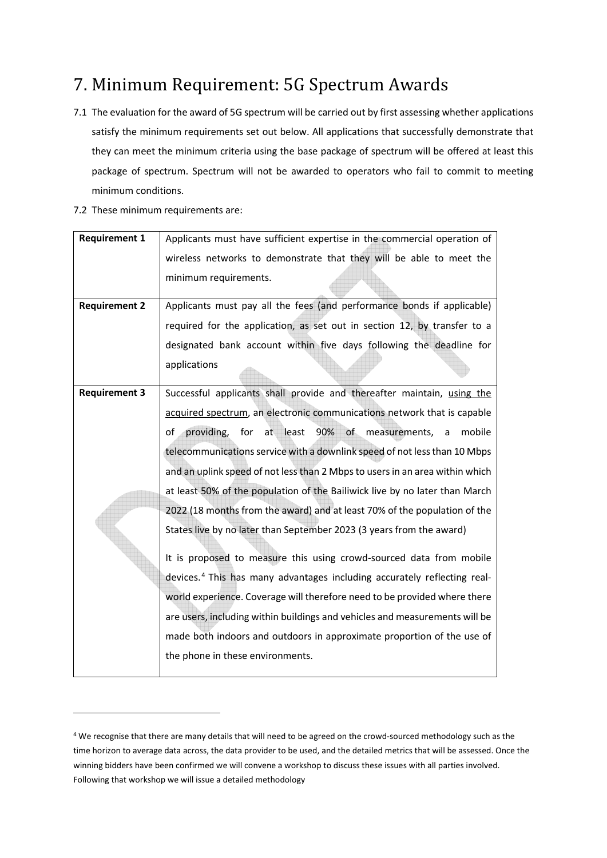### 7. Minimum Requirement: 5G Spectrum Awards

- 7.1 The evaluation for the award of 5G spectrum will be carried out by first assessing whether applications satisfy the minimum requirements set out below. All applications that successfully demonstrate that they can meet the minimum criteria using the base package of spectrum will be offered at least this package of spectrum. Spectrum will not be awarded to operators who fail to commit to meeting minimum conditions.
- 7.2 These minimum requirements are:

| <b>Requirement 1</b> | Applicants must have sufficient expertise in the commercial operation of             |  |  |  |
|----------------------|--------------------------------------------------------------------------------------|--|--|--|
|                      | wireless networks to demonstrate that they will be able to meet the                  |  |  |  |
|                      | minimum requirements.                                                                |  |  |  |
|                      |                                                                                      |  |  |  |
| <b>Requirement 2</b> | Applicants must pay all the fees (and performance bonds if applicable)               |  |  |  |
|                      | required for the application, as set out in section 12, by transfer to a             |  |  |  |
|                      | designated bank account within five days following the deadline for                  |  |  |  |
|                      | applications                                                                         |  |  |  |
|                      |                                                                                      |  |  |  |
| <b>Requirement 3</b> | Successful applicants shall provide and thereafter maintain, using the               |  |  |  |
|                      | acquired spectrum, an electronic communications network that is capable              |  |  |  |
|                      | for at least<br>90% of measurements, a<br>providing,<br>mobile<br>of                 |  |  |  |
|                      | telecommunications service with a downlink speed of not less than 10 Mbps            |  |  |  |
|                      | and an uplink speed of not less than 2 Mbps to users in an area within which         |  |  |  |
|                      | at least 50% of the population of the Bailiwick live by no later than March          |  |  |  |
|                      | 2022 (18 months from the award) and at least 70% of the population of the            |  |  |  |
|                      | States live by no later than September 2023 (3 years from the award)                 |  |  |  |
|                      | It is proposed to measure this using crowd-sourced data from mobile                  |  |  |  |
|                      | devices. <sup>4</sup> This has many advantages including accurately reflecting real- |  |  |  |
|                      | world experience. Coverage will therefore need to be provided where there            |  |  |  |
|                      | are users, including within buildings and vehicles and measurements will be          |  |  |  |
|                      | made both indoors and outdoors in approximate proportion of the use of               |  |  |  |
|                      | the phone in these environments.                                                     |  |  |  |
|                      |                                                                                      |  |  |  |

<sup>&</sup>lt;sup>4</sup> We recognise that there are many details that will need to be agreed on the crowd-sourced methodology such as the time horizon to average data across, the data provider to be used, and the detailed metrics that will be assessed. Once the winning bidders have been confirmed we will convene a workshop to discuss these issues with all parties involved. Following that workshop we will issue a detailed methodology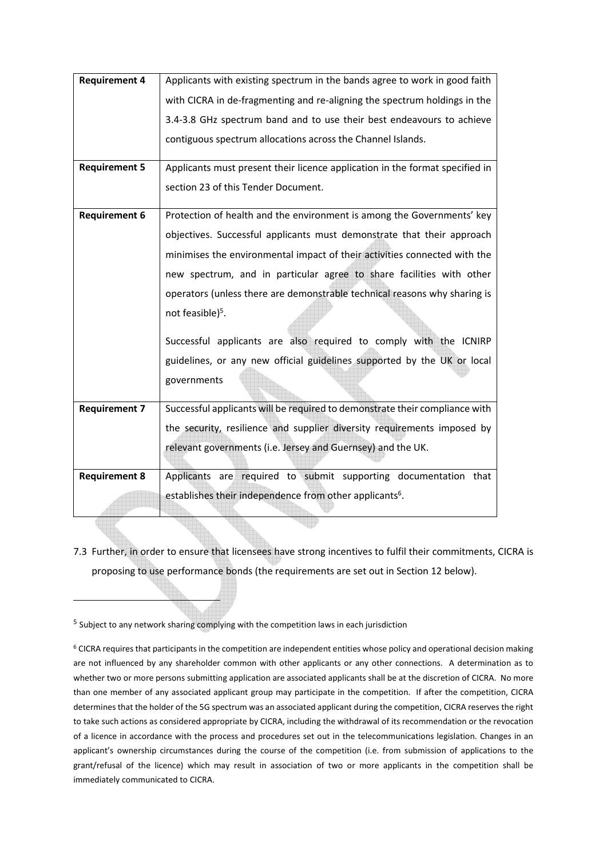| <b>Requirement 4</b> | Applicants with existing spectrum in the bands agree to work in good faith   |  |  |  |
|----------------------|------------------------------------------------------------------------------|--|--|--|
|                      | with CICRA in de-fragmenting and re-aligning the spectrum holdings in the    |  |  |  |
|                      | 3.4-3.8 GHz spectrum band and to use their best endeavours to achieve        |  |  |  |
|                      | contiguous spectrum allocations across the Channel Islands.                  |  |  |  |
| <b>Requirement 5</b> | Applicants must present their licence application in the format specified in |  |  |  |
|                      | section 23 of this Tender Document.                                          |  |  |  |
| <b>Requirement 6</b> | Protection of health and the environment is among the Governments' key       |  |  |  |
|                      | objectives. Successful applicants must demonstrate that their approach       |  |  |  |
|                      | minimises the environmental impact of their activities connected with the    |  |  |  |
|                      | new spectrum, and in particular agree to share facilities with other         |  |  |  |
|                      | operators (unless there are demonstrable technical reasons why sharing is    |  |  |  |
|                      | not feasible) <sup>5</sup> .                                                 |  |  |  |
|                      | Successful applicants are also required to comply with the ICNIRP            |  |  |  |
|                      | guidelines, or any new official guidelines supported by the UK or local      |  |  |  |
|                      | governments                                                                  |  |  |  |
| <b>Requirement 7</b> | Successful applicants will be required to demonstrate their compliance with  |  |  |  |
|                      | the security, resilience and supplier diversity requirements imposed by      |  |  |  |
|                      | relevant governments (i.e. Jersey and Guernsey) and the UK.                  |  |  |  |
| <b>Requirement 8</b> | required to submit supporting documentation that<br>Applicants are           |  |  |  |
|                      | establishes their independence from other applicants <sup>6</sup> .          |  |  |  |
|                      |                                                                              |  |  |  |

7.3 Further, in order to ensure that licensees have strong incentives to fulfil their commitments, CICRA is proposing to use performance bonds (the requirements are set out in Section 12 below).

<sup>5</sup> Subject to any network sharing complying with the competition laws in each jurisdiction

<sup>&</sup>lt;sup>6</sup> CICRA requires that participants in the competition are independent entities whose policy and operational decision making are not influenced by any shareholder common with other applicants or any other connections. A determination as to whether two or more persons submitting application are associated applicants shall be at the discretion of CICRA. No more than one member of any associated applicant group may participate in the competition. If after the competition, CICRA determines that the holder of the 5G spectrum was an associated applicant during the competition, CICRA reserves the right to take such actions as considered appropriate by CICRA, including the withdrawal of its recommendation or the revocation of a licence in accordance with the process and procedures set out in the telecommunications legislation. Changes in an applicant's ownership circumstances during the course of the competition (i.e. from submission of applications to the grant/refusal of the licence) which may result in association of two or more applicants in the competition shall be immediately communicated to CICRA.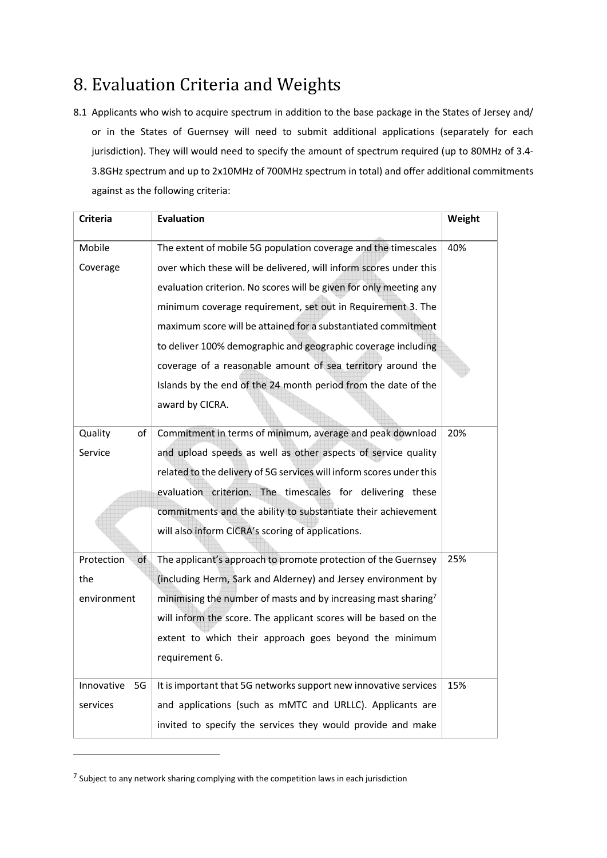### 8. Evaluation Criteria and Weights

8.1 Applicants who wish to acquire spectrum in addition to the base package in the States of Jersey and/ or in the States of Guernsey will need to submit additional applications (separately for each jurisdiction). They will would need to specify the amount of spectrum required (up to 80MHz of 3.4-3.8GHz spectrum and up to 2x10MHz of 700MHz spectrum in total) and offer additional commitments against as the following criteria:

| <b>Criteria</b>                                                      | <b>Evaluation</b>                                                          | Weight |  |
|----------------------------------------------------------------------|----------------------------------------------------------------------------|--------|--|
| Mobile                                                               | The extent of mobile 5G population coverage and the timescales             | 40%    |  |
| Coverage                                                             | over which these will be delivered, will inform scores under this          |        |  |
|                                                                      | evaluation criterion. No scores will be given for only meeting any         |        |  |
|                                                                      | minimum coverage requirement, set out in Requirement 3. The                |        |  |
|                                                                      | maximum score will be attained for a substantiated commitment              |        |  |
|                                                                      | to deliver 100% demographic and geographic coverage including              |        |  |
|                                                                      | coverage of a reasonable amount of sea territory around the                |        |  |
|                                                                      | Islands by the end of the 24 month period from the date of the             |        |  |
|                                                                      | award by CICRA.                                                            |        |  |
| Quality<br>of                                                        | Commitment in terms of minimum, average and peak download                  | 20%    |  |
| Service                                                              | and upload speeds as well as other aspects of service quality              |        |  |
|                                                                      | related to the delivery of 5G services will inform scores under this       |        |  |
|                                                                      | evaluation criterion. The timescales for delivering these                  |        |  |
|                                                                      | commitments and the ability to substantiate their achievement              |        |  |
|                                                                      | will also inform CICRA's scoring of applications.                          |        |  |
| Protection<br>of                                                     | The applicant's approach to promote protection of the Guernsey             | 25%    |  |
| (including Herm, Sark and Alderney) and Jersey environment by<br>the |                                                                            |        |  |
| environment                                                          | minimising the number of masts and by increasing mast sharing <sup>7</sup> |        |  |
|                                                                      | will inform the score. The applicant scores will be based on the           |        |  |
|                                                                      | extent to which their approach goes beyond the minimum                     |        |  |
|                                                                      | requirement 6.                                                             |        |  |
| Innovative<br>5G                                                     | It is important that 5G networks support new innovative services           | 15%    |  |
| services                                                             | and applications (such as mMTC and URLLC). Applicants are                  |        |  |
|                                                                      | invited to specify the services they would provide and make                |        |  |

 $<sup>7</sup>$  Subject to any network sharing complying with the competition laws in each jurisdiction</sup>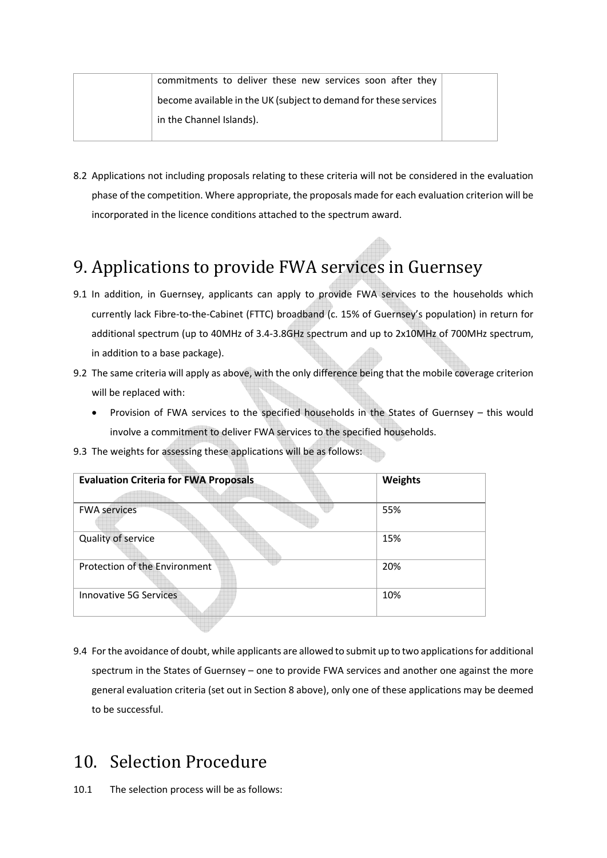| commitments to deliver these new services soon after they        |  |
|------------------------------------------------------------------|--|
| become available in the UK (subject to demand for these services |  |
| in the Channel Islands).                                         |  |

8.2 Applications not including proposals relating to these criteria will not be considered in the evaluation phase of the competition. Where appropriate, the proposals made for each evaluation criterion will be incorporated in the licence conditions attached to the spectrum award.

## 9. Applications to provide FWA services in Guernsey

- 9.1 In addition, in Guernsey, applicants can apply to provide FWA services to the households which currently lack Fibre-to-the-Cabinet (FTTC) broadband (c. 15% of Guernsey's population) in return for additional spectrum (up to 40MHz of 3.4-3.8GHz spectrum and up to 2x10MHz of 700MHz spectrum, in addition to a base package).
- 9.2 The same criteria will apply as above, with the only difference being that the mobile coverage criterion will be replaced with:
	- Provision of FWA services to the specified households in the States of Guernsey this would involve a commitment to deliver FWA services to the specified households.

| <b>Evaluation Criteria for FWA Proposals</b> | Weights |
|----------------------------------------------|---------|
| <b>FWA services</b>                          | 55%     |
| Quality of service                           | 15%     |
| Protection of the Environment                | 20%     |
| Innovative 5G Services                       | 10%     |
|                                              |         |

9.3 The weights for assessing these applications will be as follows:

9.4 For the avoidance of doubt, while applicants are allowed to submit up to two applications for additional spectrum in the States of Guernsey – one to provide FWA services and another one against the more general evaluation criteria (set out in Section 8 above), only one of these applications may be deemed to be successful.

### 10. Selection Procedure

10.1 The selection process will be as follows: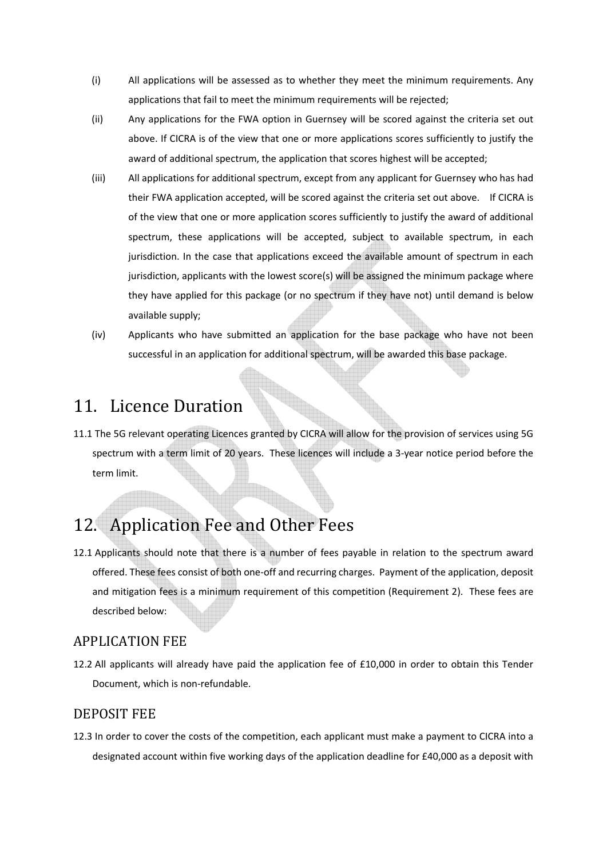- (i) All applications will be assessed as to whether they meet the minimum requirements. Any applications that fail to meet the minimum requirements will be rejected;
- (ii) Any applications for the FWA option in Guernsey will be scored against the criteria set out above. If CICRA is of the view that one or more applications scores sufficiently to justify the award of additional spectrum, the application that scores highest will be accepted;
- (iii) All applications for additional spectrum, except from any applicant for Guernsey who has had their FWA application accepted, will be scored against the criteria set out above. If CICRA is of the view that one or more application scores sufficiently to justify the award of additional spectrum, these applications will be accepted, subject to available spectrum, in each jurisdiction. In the case that applications exceed the available amount of spectrum in each jurisdiction, applicants with the lowest score(s) will be assigned the minimum package where they have applied for this package (or no spectrum if they have not) until demand is below available supply;
- (iv) Applicants who have submitted an application for the base package who have not been successful in an application for additional spectrum, will be awarded this base package.

### 11. Licence Duration

11.1 The 5G relevant operating Licences granted by CICRA will allow for the provision of services using 5G spectrum with a term limit of 20 years. These licences will include a 3-year notice period before the term limit.

### 12. Application Fee and Other Fees

12.1 Applicants should note that there is a number of fees payable in relation to the spectrum award offered. These fees consist of both one-off and recurring charges. Payment of the application, deposit and mitigation fees is a minimum requirement of this competition (Requirement 2). These fees are described below:

#### APPLICATION FEE

12.2 All applicants will already have paid the application fee of £10,000 in order to obtain this Tender Document, which is non-refundable.

#### DEPOSIT FEE

12.3 In order to cover the costs of the competition, each applicant must make a payment to CICRA into a designated account within five working days of the application deadline for £40,000 as a deposit with